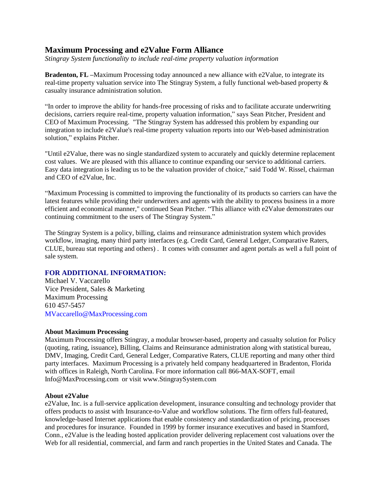## **Maximum Processing and e2Value Form Alliance**

*Stingray System functionality to include real-time property valuation information*

**Bradenton, FL –**Maximum Processing today announced a new alliance with e2Value, to integrate its real-time property valuation service into The Stingray System, a fully functional web-based property & casualty insurance administration solution.

"In order to improve the ability for hands-free processing of risks and to facilitate accurate underwriting decisions, carriers require real-time, property valuation information," says Sean Pitcher, President and CEO of Maximum Processing. "The Stingray System has addressed this problem by expanding our integration to include e2Value's real-time property valuation reports into our Web-based administration solution," explains Pitcher.

"Until e2Value, there was no single standardized system to accurately and quickly determine replacement cost values. We are pleased with this alliance to continue expanding our service to additional carriers. Easy data integration is leading us to be the valuation provider of choice," said Todd W. Rissel, chairman and CEO of e2Value, Inc.

"Maximum Processing is committed to improving the functionality of its products so carriers can have the latest features while providing their underwriters and agents with the ability to process business in a more efficient and economical manner," continued Sean Pitcher. "This alliance with e2Value demonstrates our continuing commitment to the users of The Stingray System."

The Stingray System is a policy, billing, claims and reinsurance administration system which provides workflow, imaging, many third party interfaces (e.g. Credit Card, General Ledger, Comparative Raters, CLUE, bureau stat reporting and others) . It comes with consumer and agent portals as well a full point of sale system.

## **FOR ADDITIONAL INFORMATION:**

Michael V. Vaccarello Vice President, Sales & Marketing Maximum Processing 610 457-5457 MVaccarello@MaxProcessing.com

## **About Maximum Processing**

Maximum Processing offers Stingray, a modular browser-based, property and casualty solution for Policy (quoting, rating, issuance), Billing, Claims and Reinsurance administration along with statistical bureau, DMV, Imaging, Credit Card, General Ledger, Comparative Raters, CLUE reporting and many other third party interfaces. Maximum Processing is a privately held company headquartered in Bradenton, Florida with offices in Raleigh, North Carolina. For more information call 866-MAX-SOFT, email Info@MaxProcessing.com or visit www.StingraySystem.com

## **About e2Value**

e2Value, Inc. is a full-service application development, insurance consulting and technology provider that offers products to assist with Insurance-to-Value and workflow solutions. The firm offers full-featured, knowledge-based Internet applications that enable consistency and standardization of pricing, processes and procedures for insurance. Founded in 1999 by former insurance executives and based in Stamford, Conn., e2Value is the leading hosted application provider delivering replacement cost valuations over the Web for all residential, commercial, and farm and ranch properties in the United States and Canada. The